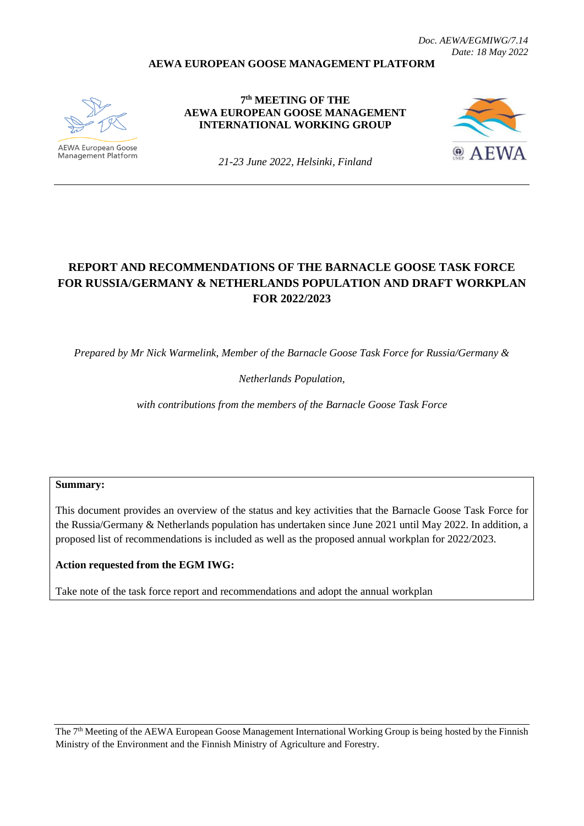### **AEWA EUROPEAN GOOSE MANAGEMENT PLATFORM**



**AEWA European Goose** Management Platform

**7 th MEETING OF THE AEWA EUROPEAN GOOSE MANAGEMENT INTERNATIONAL WORKING GROUP**



*21-23 June 2022, Helsinki, Finland*

# **REPORT AND RECOMMENDATIONS OF THE BARNACLE GOOSE TASK FORCE FOR RUSSIA/GERMANY & NETHERLANDS POPULATION AND DRAFT WORKPLAN FOR 2022/2023**

*Prepared by Mr Nick Warmelink, Member of the Barnacle Goose Task Force for Russia/Germany &* 

#### *Netherlands Population,*

*with contributions from the members of the Barnacle Goose Task Force*

#### **Summary:**

This document provides an overview of the status and key activities that the Barnacle Goose Task Force for the Russia/Germany & Netherlands population has undertaken since June 2021 until May 2022. In addition, a proposed list of recommendations is included as well as the proposed annual workplan for 2022/2023.

### **Action requested from the EGM IWG:**

Take note of the task force report and recommendations and adopt the annual workplan

The 7<sup>th</sup> Meeting of the AEWA European Goose Management International Working Group is being hosted by the Finnish Ministry of the Environment and the Finnish Ministry of Agriculture and Forestry.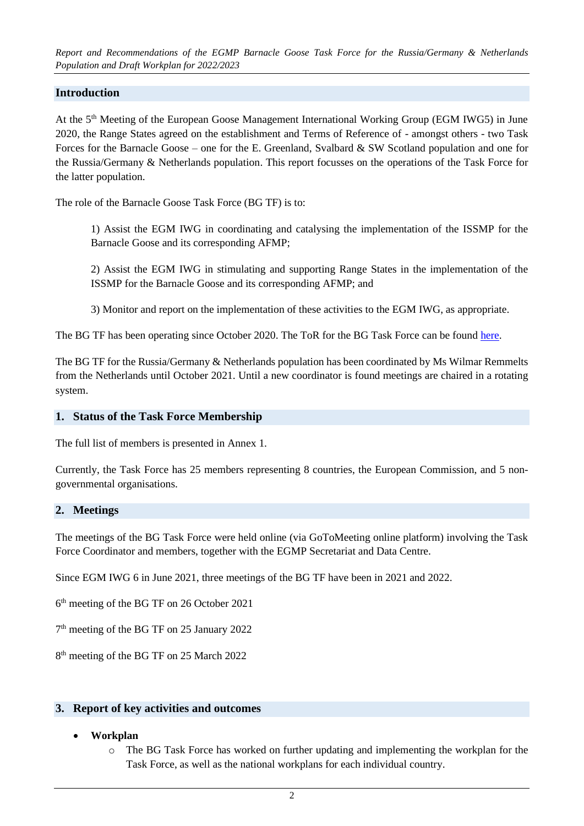*Report and Recommendations of the EGMP Barnacle Goose Task Force for the Russia/Germany & Netherlands Population and Draft Workplan for 2022/2023*

### **Introduction**

At the 5<sup>th</sup> Meeting of the European Goose Management International Working Group (EGM IWG5) in June 2020, the Range States agreed on the establishment and Terms of Reference of - amongst others - two Task Forces for the Barnacle Goose – one for the E. Greenland, Svalbard & SW Scotland population and one for the Russia/Germany & Netherlands population. This report focusses on the operations of the Task Force for the latter population.

The role of the Barnacle Goose Task Force (BG TF) is to:

1) Assist the EGM IWG in coordinating and catalysing the implementation of the ISSMP for the Barnacle Goose and its corresponding AFMP;

2) Assist the EGM IWG in stimulating and supporting Range States in the implementation of the ISSMP for the Barnacle Goose and its corresponding AFMP; and

3) Monitor and report on the implementation of these activities to the EGM IWG, as appropriate.

The BG TF has been operating since October 2020. The ToR for the BG Task Force can be found [here.](https://egmp.aewa.info/sites/default/files/meeting_files/documents/AEWA_EGM_IWG_5_23_ToR_BG.pdf)

The BG TF for the Russia/Germany & Netherlands population has been coordinated by Ms Wilmar Remmelts from the Netherlands until October 2021. Until a new coordinator is found meetings are chaired in a rotating system.

#### **1. Status of the Task Force Membership**

The full list of members is presented in Annex 1.

Currently, the Task Force has 25 members representing 8 countries, the European Commission, and 5 nongovernmental organisations.

#### **2. Meetings**

The meetings of the BG Task Force were held online (via GoToMeeting online platform) involving the Task Force Coordinator and members, together with the EGMP Secretariat and Data Centre.

Since EGM IWG 6 in June 2021, three meetings of the BG TF have been in 2021 and 2022.

6 th meeting of the BG TF on 26 October 2021

7<sup>th</sup> meeting of the BG TF on 25 January 2022

8<sup>th</sup> meeting of the BG TF on 25 March 2022

#### **3. Report of key activities and outcomes**

#### • **Workplan**

o The BG Task Force has worked on further updating and implementing the workplan for the Task Force, as well as the national workplans for each individual country.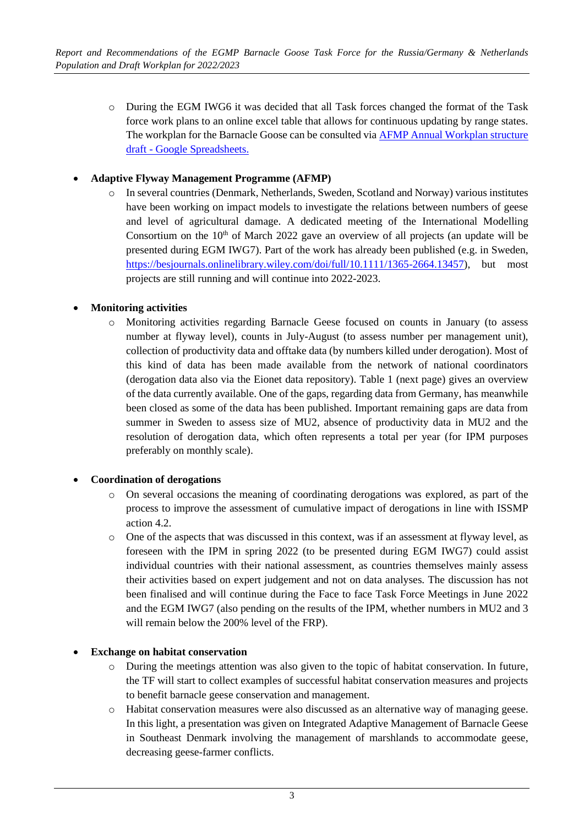o During the EGM IWG6 it was decided that all Task forces changed the format of the Task force work plans to an online excel table that allows for continuous updating by range states. The workplan for the Barnacle Goose can be consulted via [AFMP Annual Workplan structure](https://docs.google.com/spreadsheets/d/1M64HWxzVagM9W0mG8iMMeVYS3_-M44W6QsHvvUonST8/edit#gid=787813842)  draft - [Google Spreadsheets.](https://docs.google.com/spreadsheets/d/1M64HWxzVagM9W0mG8iMMeVYS3_-M44W6QsHvvUonST8/edit#gid=787813842)

### • **Adaptive Flyway Management Programme (AFMP)**

o In several countries (Denmark, Netherlands, Sweden, Scotland and Norway) various institutes have been working on impact models to investigate the relations between numbers of geese and level of agricultural damage. A dedicated meeting of the International Modelling Consortium on the  $10<sup>th</sup>$  of March 2022 gave an overview of all projects (an update will be presented during EGM IWG7). Part of the work has already been published (e.g. in Sweden, [https://besjournals.onlinelibrary.wiley.com/doi/full/10.1111/1365-2664.13457\)](https://besjournals.onlinelibrary.wiley.com/doi/full/10.1111/1365-2664.13457), but most projects are still running and will continue into 2022-2023.

# • **Monitoring activities**

o Monitoring activities regarding Barnacle Geese focused on counts in January (to assess number at flyway level), counts in July-August (to assess number per management unit), collection of productivity data and offtake data (by numbers killed under derogation). Most of this kind of data has been made available from the network of national coordinators (derogation data also via the Eionet data repository). Table 1 (next page) gives an overview of the data currently available. One of the gaps, regarding data from Germany, has meanwhile been closed as some of the data has been published. Important remaining gaps are data from summer in Sweden to assess size of MU2, absence of productivity data in MU2 and the resolution of derogation data, which often represents a total per year (for IPM purposes preferably on monthly scale).

### • **Coordination of derogations**

- o On several occasions the meaning of coordinating derogations was explored, as part of the process to improve the assessment of cumulative impact of derogations in line with ISSMP action 4.2.
- o One of the aspects that was discussed in this context, was if an assessment at flyway level, as foreseen with the IPM in spring 2022 (to be presented during EGM IWG7) could assist individual countries with their national assessment, as countries themselves mainly assess their activities based on expert judgement and not on data analyses. The discussion has not been finalised and will continue during the Face to face Task Force Meetings in June 2022 and the EGM IWG7 (also pending on the results of the IPM, whether numbers in MU2 and 3 will remain below the 200% level of the FRP).

### • **Exchange on habitat conservation**

- o During the meetings attention was also given to the topic of habitat conservation. In future, the TF will start to collect examples of successful habitat conservation measures and projects to benefit barnacle geese conservation and management.
- o Habitat conservation measures were also discussed as an alternative way of managing geese. In this light, a presentation was given on Integrated Adaptive Management of Barnacle Geese in Southeast Denmark involving the management of marshlands to accommodate geese, decreasing geese-farmer conflicts.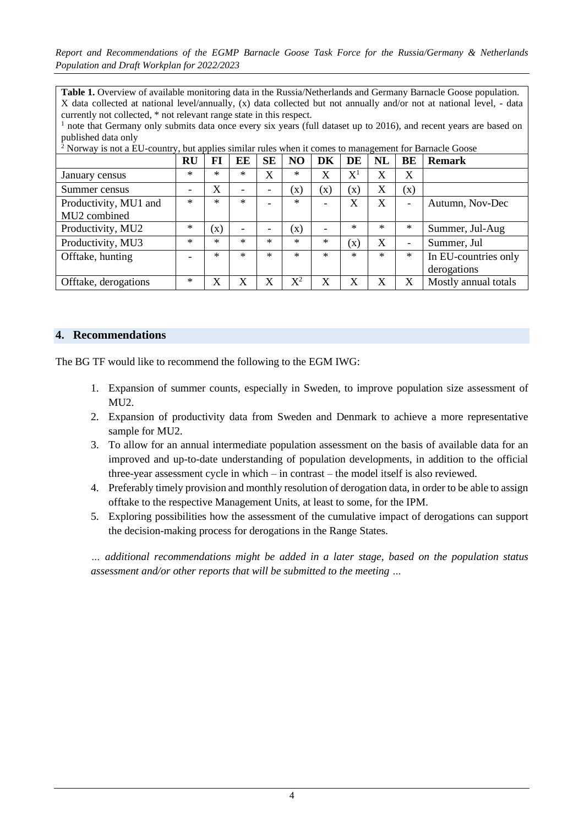*Report and Recommendations of the EGMP Barnacle Goose Task Force for the Russia/Germany & Netherlands Population and Draft Workplan for 2022/2023*

**Table 1.** Overview of available monitoring data in the Russia/Netherlands and Germany Barnacle Goose population. X data collected at national level/annually, (x) data collected but not annually and/or not at national level, - data currently not collected, \* not relevant range state in this respect.

<sup>1</sup> note that Germany only submits data once every six years (full dataset up to 2016), and recent years are based on published data only

 $2$  Norway is not a EU-country, but applies similar rules when it comes to management for Barnacle Goose

|                                       | <b>RU</b>                | FI                    | EE     | <b>SE</b> | NO.            | DK             | DE                          | NL     | BE     | <b>Remark</b>                       |
|---------------------------------------|--------------------------|-----------------------|--------|-----------|----------------|----------------|-----------------------------|--------|--------|-------------------------------------|
| January census                        | $\ast$                   | ×                     | $\ast$ | X         | $\ast$         | X              | $\mathrm{X}^{\text{\rm l}}$ | X      | X      |                                     |
| Summer census                         | $\overline{\phantom{0}}$ | $\overline{\text{X}}$ |        |           | $(\mathbf{X})$ | $(\mathbf{x})$ | $(\mathbf{x})$              | X      | (x)    |                                     |
| Productivity, MU1 and<br>MU2 combined | $\ast$                   | $\ast$                | $\ast$ |           | $\ast$         |                | $\rm X$                     | X      | -      | Autumn, Nov-Dec                     |
| Productivity, MU2                     | $\ast$                   | (x)                   |        |           | $(\mathrm{x})$ |                | $\ast$                      | $\ast$ | $\ast$ | Summer, Jul-Aug                     |
| Productivity, MU3                     | $^{\ast}$                | ж                     | $\ast$ | $\ast$    | $\ast$         | $*$            | $\left( \mathbf{X}\right)$  | X      | -      | Summer, Jul                         |
| Offtake, hunting                      | $\overline{\phantom{0}}$ | *                     | $\ast$ | $*$       | $\ast$         | $\ast$         | $\ast$                      | $*$    | $\ast$ | In EU-countries only<br>derogations |
| Offtake, derogations                  | $\ast$                   | X                     | X      | X         | $X^2$          | X              | X                           | X      | X      | Mostly annual totals                |

#### **4. Recommendations**

The BG TF would like to recommend the following to the EGM IWG:

- 1. Expansion of summer counts, especially in Sweden, to improve population size assessment of MU2.
- 2. Expansion of productivity data from Sweden and Denmark to achieve a more representative sample for MU2.
- 3. To allow for an annual intermediate population assessment on the basis of available data for an improved and up-to-date understanding of population developments, in addition to the official three-year assessment cycle in which – in contrast – the model itself is also reviewed.
- 4. Preferably timely provision and monthly resolution of derogation data, in order to be able to assign offtake to the respective Management Units, at least to some, for the IPM.
- 5. Exploring possibilities how the assessment of the cumulative impact of derogations can support the decision-making process for derogations in the Range States.

*… additional recommendations might be added in a later stage, based on the population status assessment and/or other reports that will be submitted to the meeting …*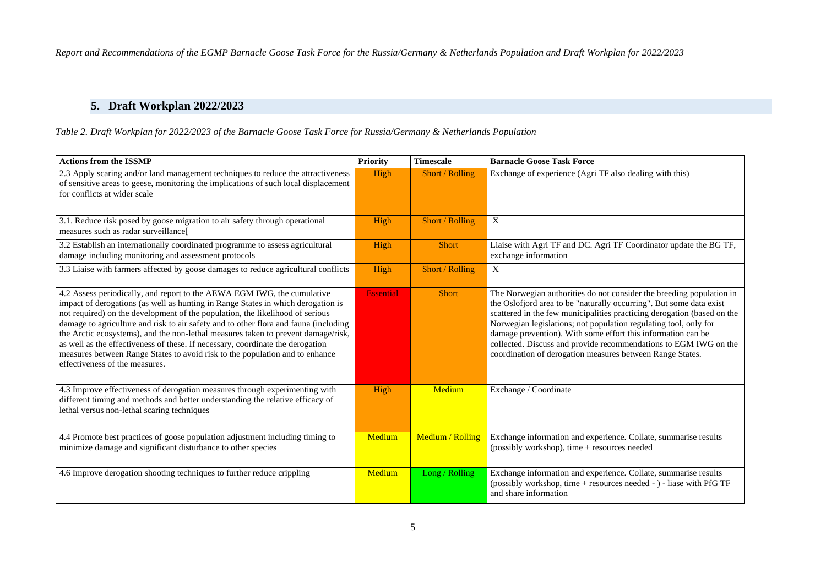# **5. Draft Workplan 2022/2023**

#### *Table 2. Draft Workplan for 2022/2023 of the Barnacle Goose Task Force for Russia/Germany & Netherlands Population*

| <b>Actions from the ISSMP</b>                                                                                                                                                                                                                                                                                                                                                                                                                                                                                                                                                                                                 | <b>Priority</b>  | <b>Timescale</b> | <b>Barnacle Goose Task Force</b>                                                                                                                                                                                                                                                                                                                                                                                                                                                            |
|-------------------------------------------------------------------------------------------------------------------------------------------------------------------------------------------------------------------------------------------------------------------------------------------------------------------------------------------------------------------------------------------------------------------------------------------------------------------------------------------------------------------------------------------------------------------------------------------------------------------------------|------------------|------------------|---------------------------------------------------------------------------------------------------------------------------------------------------------------------------------------------------------------------------------------------------------------------------------------------------------------------------------------------------------------------------------------------------------------------------------------------------------------------------------------------|
| 2.3 Apply scaring and/or land management techniques to reduce the attractiveness<br>of sensitive areas to geese, monitoring the implications of such local displacement<br>for conflicts at wider scale                                                                                                                                                                                                                                                                                                                                                                                                                       | High             | Short / Rolling  | Exchange of experience (Agri TF also dealing with this)                                                                                                                                                                                                                                                                                                                                                                                                                                     |
| 3.1. Reduce risk posed by goose migration to air safety through operational<br>measures such as radar surveillance[                                                                                                                                                                                                                                                                                                                                                                                                                                                                                                           | High             | Short / Rolling  | $\mathbf X$                                                                                                                                                                                                                                                                                                                                                                                                                                                                                 |
| 3.2 Establish an internationally coordinated programme to assess agricultural<br>damage including monitoring and assessment protocols                                                                                                                                                                                                                                                                                                                                                                                                                                                                                         | High             | <b>Short</b>     | Liaise with Agri TF and DC. Agri TF Coordinator update the BG TF,<br>exchange information                                                                                                                                                                                                                                                                                                                                                                                                   |
| 3.3 Liaise with farmers affected by goose damages to reduce agricultural conflicts                                                                                                                                                                                                                                                                                                                                                                                                                                                                                                                                            | High             | Short / Rolling  | X                                                                                                                                                                                                                                                                                                                                                                                                                                                                                           |
| 4.2 Assess periodically, and report to the AEWA EGM IWG, the cumulative<br>impact of derogations (as well as hunting in Range States in which derogation is<br>not required) on the development of the population, the likelihood of serious<br>damage to agriculture and risk to air safety and to other flora and fauna (including<br>the Arctic ecosystems), and the non-lethal measures taken to prevent damage/risk,<br>as well as the effectiveness of these. If necessary, coordinate the derogation<br>measures between Range States to avoid risk to the population and to enhance<br>effectiveness of the measures. | <b>Essential</b> | <b>Short</b>     | The Norwegian authorities do not consider the breeding population in<br>the Oslofjord area to be "naturally occurring". But some data exist<br>scattered in the few municipalities practicing derogation (based on the<br>Norwegian legislations; not population regulating tool, only for<br>damage prevention). With some effort this information can be<br>collected. Discuss and provide recommendations to EGM IWG on the<br>coordination of derogation measures between Range States. |
| 4.3 Improve effectiveness of derogation measures through experimenting with<br>different timing and methods and better understanding the relative efficacy of<br>lethal versus non-lethal scaring techniques                                                                                                                                                                                                                                                                                                                                                                                                                  | High             | Medium           | Exchange / Coordinate                                                                                                                                                                                                                                                                                                                                                                                                                                                                       |
| 4.4 Promote best practices of goose population adjustment including timing to<br>minimize damage and significant disturbance to other species                                                                                                                                                                                                                                                                                                                                                                                                                                                                                 | Medium           | Medium / Rolling | Exchange information and experience. Collate, summarise results<br>(possibly workshop), time + resources needed                                                                                                                                                                                                                                                                                                                                                                             |
| 4.6 Improve derogation shooting techniques to further reduce crippling                                                                                                                                                                                                                                                                                                                                                                                                                                                                                                                                                        | Medium           | Long / Rolling   | Exchange information and experience. Collate, summarise results<br>(possibly workshop, time + resources needed - ) - liase with PfG TF<br>and share information                                                                                                                                                                                                                                                                                                                             |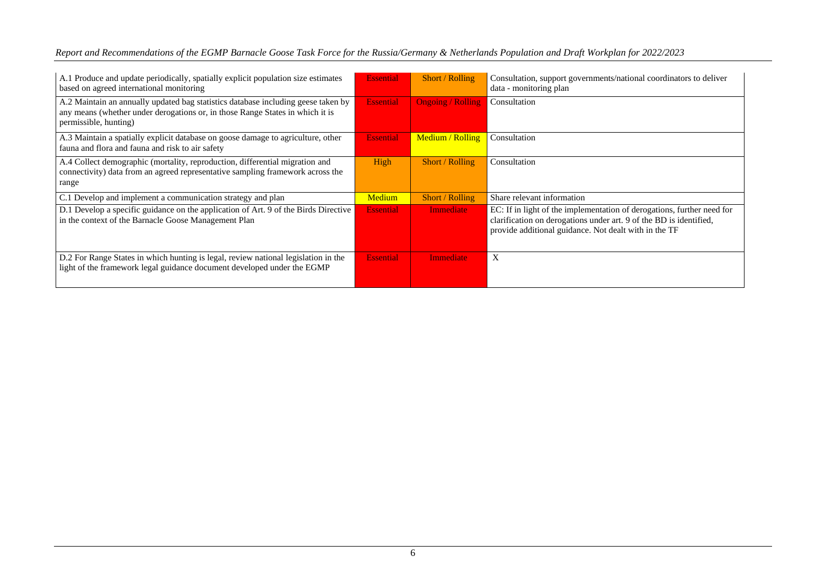| Report and Recommendations of the EGMP Barnacle Goose Task Force for the Russia/Germany & Netherlands Population and Draft Workplan for 2022/2023 |  |  |
|---------------------------------------------------------------------------------------------------------------------------------------------------|--|--|
|                                                                                                                                                   |  |  |

| A.1 Produce and update periodically, spatially explicit population size estimates<br>based on agreed international monitoring                                                               | <b>Essential</b> | Short / Rolling          | Consultation, support governments/national coordinators to deliver<br>data - monitoring plan                                                                                                          |
|---------------------------------------------------------------------------------------------------------------------------------------------------------------------------------------------|------------------|--------------------------|-------------------------------------------------------------------------------------------------------------------------------------------------------------------------------------------------------|
| A.2 Maintain an annually updated bag statistics database including geese taken by<br>any means (whether under derogations or, in those Range States in which it is<br>permissible, hunting) | <b>Essential</b> | <b>Ongoing / Rolling</b> | Consultation                                                                                                                                                                                          |
| A.3 Maintain a spatially explicit database on goose damage to agriculture, other<br>fauna and flora and fauna and risk to air safety                                                        | <b>Essential</b> | Medium / Rolling         | Consultation                                                                                                                                                                                          |
| A.4 Collect demographic (mortality, reproduction, differential migration and<br>connectivity) data from an agreed representative sampling framework across the<br>range                     | High             | Short / Rolling          | Consultation                                                                                                                                                                                          |
| C.1 Develop and implement a communication strategy and plan                                                                                                                                 | Medium           | Short / Rolling          | Share relevant information                                                                                                                                                                            |
| D.1 Develop a specific guidance on the application of Art. 9 of the Birds Directive<br>in the context of the Barnacle Goose Management Plan                                                 | <b>Essential</b> | <b>Immediate</b>         | EC: If in light of the implementation of derogations, further need for<br>clarification on derogations under art. 9 of the BD is identified,<br>provide additional guidance. Not dealt with in the TF |
| D.2 For Range States in which hunting is legal, review national legislation in the<br>light of the framework legal guidance document developed under the EGMP                               | <b>Essential</b> | <b>Immediate</b>         | $\mathbf{X}$                                                                                                                                                                                          |